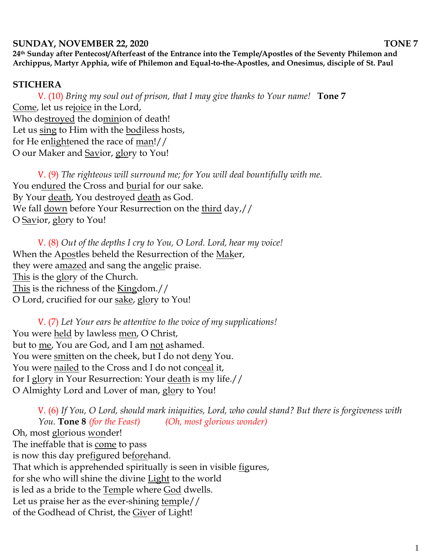## **SUNDAY, NOVEMBER 22, 2020** TONE 7

**24th Sunday after Pentecost/Afterfeast of the Entrance into the Temple/Apostles of the Seventy Philemon and Archippus, Martyr Apphia, wife of Philemon and Equal-to-the-Apostles, and Onesimus, disciple of St. Paul**

## **STICHERA**

V. (10) *Bring my soul out of prison, that I may give thanks to Your name!* **Tone 7** Come, let us rejoice in the Lord, Who destroyed the dominion of death! Let us sing to Him with the bodiless hosts, for He enlightened the race of man!// O our Maker and Savior, glory to You!

V. (9) *The righteous will surround me; for You will deal bountifully with me.*  You endured the Cross and burial for our sake. By Your death, You destroyed death as God. We fall down before Your Resurrection on the third day,// O Savior, glory to You!

V. (8) *Out of the depths I cry to You, O Lord. Lord, hear my voice!*  When the Apostles beheld the Resurrection of the Maker, they were amazed and sang the angelic praise. This is the glory of the Church. This is the richness of the Kingdom.// O Lord, crucified for our sake, glory to You!

V. (7) *Let Your ears be attentive to the voice of my supplications!* You were held by lawless men, O Christ, but to me, You are God, and I am not ashamed. You were smitten on the cheek, but I do not deny You. You were nailed to the Cross and I do not conceal it, for I glory in Your Resurrection: Your death is my life.// O Almighty Lord and Lover of man, glory to You!

V. (6) *If You, O Lord, should mark iniquities, Lord, who could stand? But there is forgiveness with You.* **Tone 8** *(for the Feast) (Oh, most glorious wonder)* Oh, most glorious wonder! The ineffable that is come to pass is now this day prefigured beforehand. That which is apprehended spiritually is seen in visible <u>fi</u>gures, for she who will shine the divine Light to the world is led as a bride to the Temple where God dwells. Let us praise her as the ever-shining temple// of the Godhead of Christ, the Giver of Light!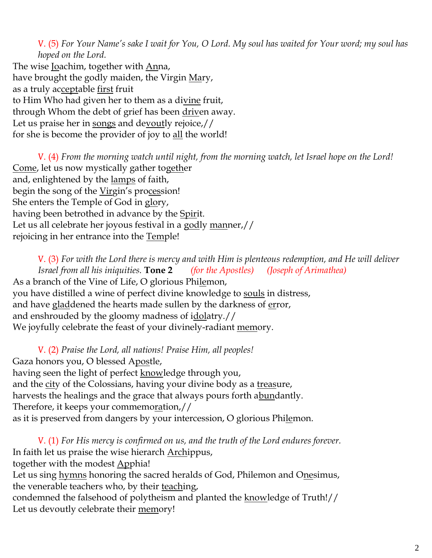V. (5) *For Your Name's sake I wait for You, O Lord. My soul has waited for Your word; my soul has hoped on the Lord.* 

The wise Joachim, together with Anna, have brought the godly maiden, the Virgin Mary, as a truly acceptable first fruit to Him Who had given her to them as a divine fruit, through Whom the debt of grief has been driven away. Let us praise her in songs and devoutly rejoice,// for she is become the provider of joy to all the world!

V. (4) *From the morning watch until night, from the morning watch, let Israel hope on the Lord!*  Come, let us now mystically gather together and, enlightened by the lamps of faith, begin the song of the Virgin's procession! She enters the Temple of God in glory, having been betrothed in advance by the Spirit. Let us all celebrate her joyous festival in a godly manner,// rejoicing in her entrance into the Temple!

V. (3) *For with the Lord there is mercy and with Him is plenteous redemption, and He will deliver Israel from all his iniquities.* **Tone 2** *(for the Apostles) (Joseph of Arimathea)* As a branch of the Vine of Life, O glorious Philemon, you have distilled a wine of perfect divine knowledge to souls in distress, and have gladdened the hearts made sullen by the darkness of error, and enshrouded by the gloomy madness of idolatry.// We joyfully celebrate the feast of your divinely-radiant memory.

V. (2) *Praise the Lord, all nations! Praise Him, all peoples!* Gaza honors you, O blessed Apostle, having seen the light of perfect knowledge through you, and the city of the Colossians, having your divine body as a treasure, harvests the healings and the grace that always pours forth abundantly. Therefore, it keeps your commemoration,// as it is preserved from dangers by your intercession, O glorious Philemon.

V. (1) *For His mercy is confirmed on us, and the truth of the Lord endures forever.*  In faith let us praise the wise hierarch Archippus, together with the modest Apphia! Let us sing hymns honoring the sacred heralds of God, Philemon and Onesimus, the venerable teachers who, by their teaching, condemned the falsehood of polytheism and planted the knowledge of Truth!// Let us devoutly celebrate their memory!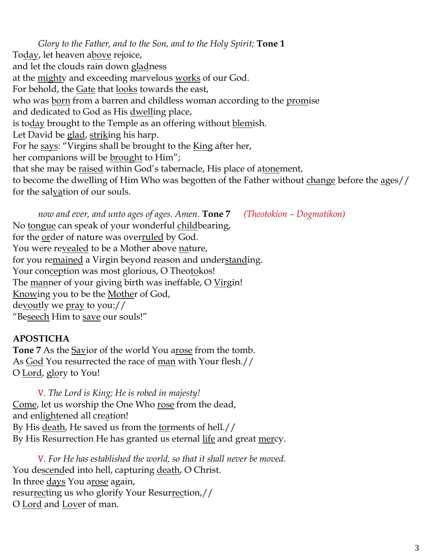*Glory to the Father, and to the Son, and to the Holy Spirit;* **Tone 1** Today, let heaven above rejoice, and let the clouds rain down gladness at the mighty and exceeding marvelous works of our God. For behold, the Gate that looks towards the east, who was born from a barren and childless woman according to the promise and dedicated to God as His dwelling place, is today brought to the Temple as an offering without blemish. Let David be glad, striking his harp. For he says: "Virgins shall be brought to the King after her, her companions will be brought to Him"; that she may be raised within God's tabernacle, His place of atonement, to become the dwelling of Him Who was begotten of the Father without change before the ages// for the salvation of our souls.

*now and ever, and unto ages of ages. Amen.* **Tone 7** *(Theotokion – Dogmatikon)* No tongue can speak of your wonderful childbearing, for the order of nature was overruled by God. You were revealed to be a Mother above nature, for you remained a Virgin beyond reason and understanding. Your conception was most glorious, O Theotokos! The manner of your giving birth was ineffable, O Virgin! Knowing you to be the Mother of God, devoutly we pray to you:// "Beseech Him to save our souls!"

## **APOSTICHA**

Tone 7 As the Savior of the world You arose from the tomb. As God You resurrected the race of man with Your flesh.// O Lord, glory to You!

V. *The Lord is King; He is robed in majesty!*  Come, let us worship the One Who rose from the dead, and enlightened all creation! By His death, He saved us from the torments of hell.// By His Resurrection He has granted us eternal life and great mercy.

V. *For He has established the world, so that it shall never be moved.* You descended into hell, capturing death, O Christ. In three days You arose again, resurrecting us who glorify Your Resurrection,// O Lord and Lover of man.